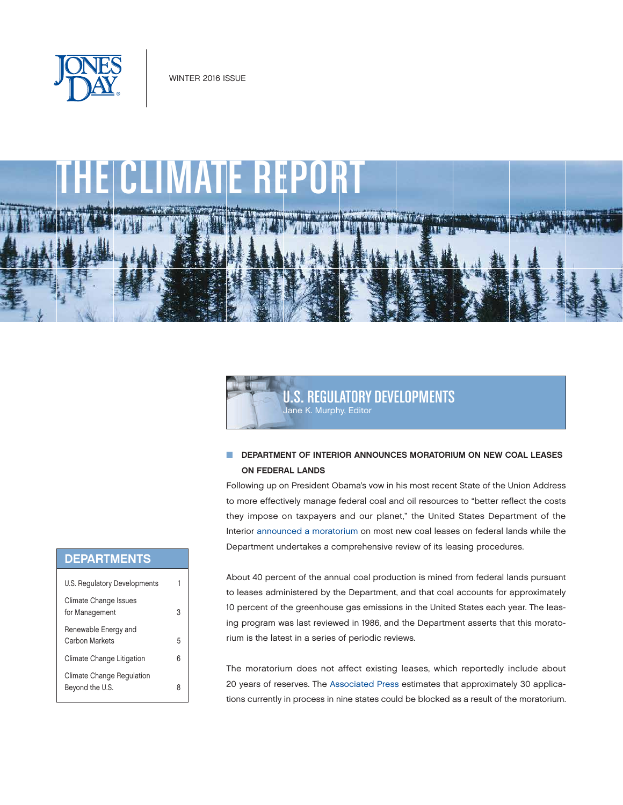

# CLIMATE REPORT **PART LOW**



## **N DEPARTMENT OF INTERIOR ANNOUNCES MORATORIUM ON NEW COAL LEASES** ON FEDERAL LANDS

Following up on President Obama's vow in his most recent State of the Union Address to more effectively manage federal coal and oil resources to "better reflect the costs they impose on taxpayers and our planet," the United States Department of the Interior [announced a moratorium](http://www.blm.gov/style/medialib/blm/wo/Communications_Directorate/public_affairs/news_release_attachments.Par.4909.File.dat/SO%203338%20Coal.pdf) on most new coal leases on federal lands while the Department undertakes a comprehensive review of its leasing procedures.

About 40 percent of the annual coal production is mined from federal lands pursuant to leases administered by the Department, and that coal accounts for approximately 10 percent of the greenhouse gas emissions in the United States each year. The leasing program was last reviewed in 1986, and the Department asserts that this moratorium is the latest in a series of periodic reviews.

The moratorium does not affect existing leases, which reportedly include about 20 years of reserves. The [Associated Press](http://www.usnews.com/news/business/articles/2016-01-15/obama-administration-will-announce-halt-on-new-coal-leases) estimates that approximately 30 applications currently in process in nine states could be blocked as a result of the moratorium.

## DEPARTMENTS

| U.S. Regulatory Developments                 |   |
|----------------------------------------------|---|
| Climate Change Issues<br>for Management      | З |
| Renewable Energy and<br>Carbon Markets       | 5 |
| Climate Change Litigation                    | 6 |
| Climate Change Regulation<br>Beyond the U.S. |   |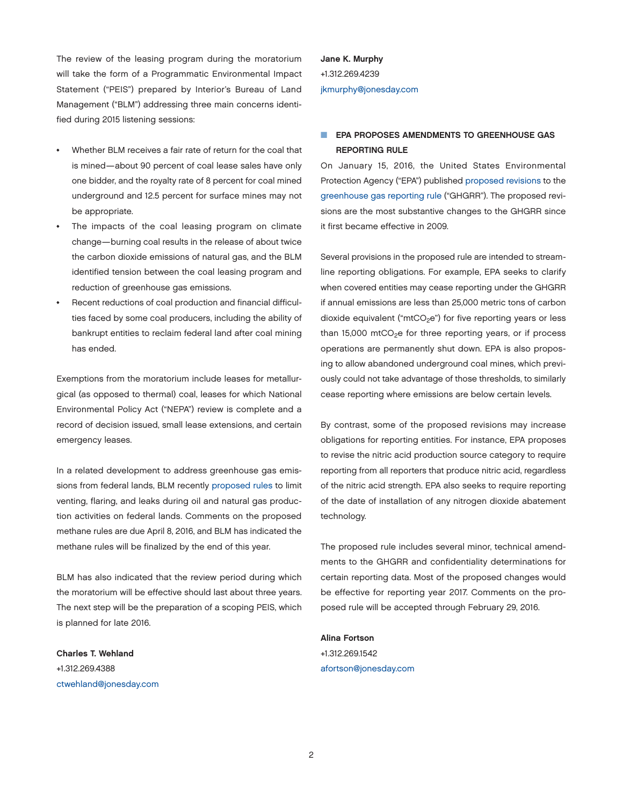The review of the leasing program during the moratorium will take the form of a Programmatic Environmental Impact Statement ("PEIS") prepared by Interior's Bureau of Land Management ("BLM") addressing three main concerns identified during 2015 listening sessions:

- Whether BLM receives a fair rate of return for the coal that is mined—about 90 percent of coal lease sales have only one bidder, and the royalty rate of 8 percent for coal mined underground and 12.5 percent for surface mines may not be appropriate.
- The impacts of the coal leasing program on climate change—burning coal results in the release of about twice the carbon dioxide emissions of natural gas, and the BLM identified tension between the coal leasing program and reduction of greenhouse gas emissions.
- Recent reductions of coal production and financial difficulties faced by some coal producers, including the ability of bankrupt entities to reclaim federal land after coal mining has ended.

Exemptions from the moratorium include leases for metallurgical (as opposed to thermal) coal, leases for which National Environmental Policy Act ("NEPA") review is complete and a record of decision issued, small lease extensions, and certain emergency leases.

In a related development to address greenhouse gas emissions from federal lands, BLM recently [proposed rules](http://www.blm.gov/style/medialib/blm/wo/Communications_Directorate/public_affairs/news_release_attachments.Par.15043.File.dat/VF%20Proposed%20Rule%20Waste%20Prevention.pdf) to limit venting, flaring, and leaks during oil and natural gas production activities on federal lands. Comments on the proposed methane rules are due April 8, 2016, and BLM has indicated the methane rules will be finalized by the end of this year.

BLM has also indicated that the review period during which the moratorium will be effective should last about three years. The next step will be the preparation of a scoping PEIS, which is planned for late 2016.

Charles T. Wehland +1.312.269.4388 [ctwehland@jonesday.com](mailto:ctwehland@jonesday.com) Jane K. Murphy +1.312.269.4239 [jkmurphy@jonesday.com](mailto:jkmurphy@jonesday.com)

## **F EPA PROPOSES AMENDMENTS TO GREENHOUSE GAS** REPORTING RULE

On January 15, 2016, the United States Environmental Protection Agency ("EPA") published [proposed revisions](https://www.gpo.gov/fdsys/pkg/FR-2016-01-15/pdf/2015-32753.pdf) to the [greenhouse gas reporting rule](http://www.ecfr.gov/cgi-bin/text-idx?tpl=/ecfrbrowse/Title40/40cfr98_main_02.tpl) ("GHGRR"). The proposed revisions are the most substantive changes to the GHGRR since it first became effective in 2009.

Several provisions in the proposed rule are intended to streamline reporting obligations. For example, EPA seeks to clarify when covered entities may cease reporting under the GHGRR if annual emissions are less than 25,000 metric tons of carbon dioxide equivalent (" $mtCO<sub>2</sub>e$ ") for five reporting years or less than 15,000 mtCO<sub>2</sub>e for three reporting years, or if process operations are permanently shut down. EPA is also proposing to allow abandoned underground coal mines, which previously could not take advantage of those thresholds, to similarly cease reporting where emissions are below certain levels.

By contrast, some of the proposed revisions may increase obligations for reporting entities. For instance, EPA proposes to revise the nitric acid production source category to require reporting from all reporters that produce nitric acid, regardless of the nitric acid strength. EPA also seeks to require reporting of the date of installation of any nitrogen dioxide abatement technology.

The proposed rule includes several minor, technical amendments to the GHGRR and confidentiality determinations for certain reporting data. Most of the proposed changes would be effective for reporting year 2017. Comments on the proposed rule will be accepted through February 29, 2016.

#### Alina Fortson

+1.312.269.1542 [afortson@jonesday.com](mailto:afortson@jonesday.com)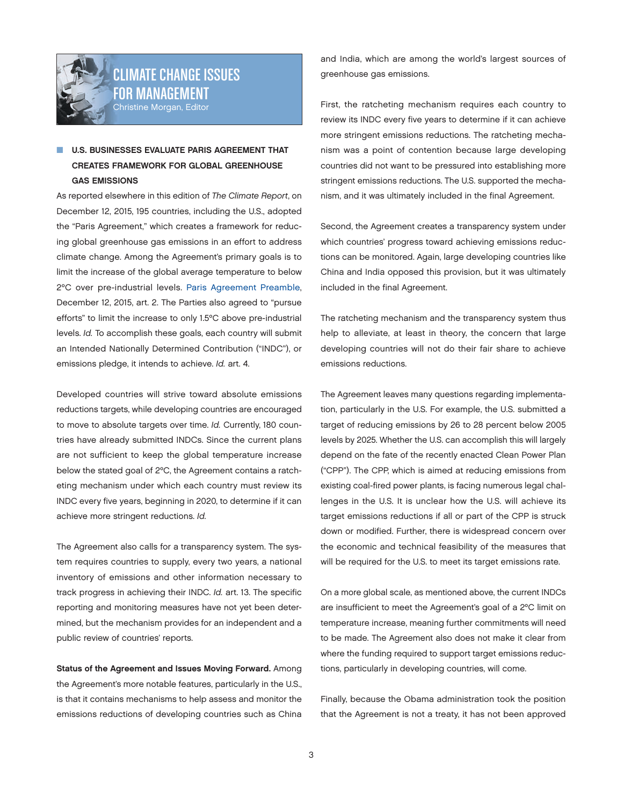<span id="page-2-0"></span>

# CLIMATE CHANGE ISSUES FOR MANAGEMENT Christine Morgan, Editor

## **U.S. BUSINESSES EVALUATE PARIS AGREEMENT THAT** CREATES FRAMEWORK FOR GLOBAL GREENHOUSE GAS EMISSIONS

As reported elsewhere in this edition of *The Climate Report*, on December 12, 2015, 195 countries, including the U.S., adopted the "Paris Agreement," which creates a framework for reducing global greenhouse gas emissions in an effort to address climate change. Among the Agreement's primary goals is to limit the increase of the global average temperature to below 2ºC over pre-industrial levels. [Paris Agreement Preamble](https://unfccc.int/resource/docs/2015/cop21/eng/l09r01.pdf), December 12, 2015, art. 2. The Parties also agreed to "pursue efforts" to limit the increase to only 1.5ºC above pre-industrial levels. *Id.* To accomplish these goals, each country will submit an Intended Nationally Determined Contribution ("INDC"), or emissions pledge, it intends to achieve. *Id.* art. 4.

Developed countries will strive toward absolute emissions reductions targets, while developing countries are encouraged to move to absolute targets over time. *Id.* Currently, 180 countries have already submitted INDCs. Since the current plans are not sufficient to keep the global temperature increase below the stated goal of 2ºC, the Agreement contains a ratcheting mechanism under which each country must review its INDC every five years, beginning in 2020, to determine if it can achieve more stringent reductions. *Id.*

The Agreement also calls for a transparency system. The system requires countries to supply, every two years, a national inventory of emissions and other information necessary to track progress in achieving their INDC. *Id.* art. 13. The specific reporting and monitoring measures have not yet been determined, but the mechanism provides for an independent and a public review of countries' reports.

Status of the Agreement and Issues Moving Forward. Among the Agreement's more notable features, particularly in the U.S., is that it contains mechanisms to help assess and monitor the emissions reductions of developing countries such as China

and India, which are among the world's largest sources of greenhouse gas emissions.

First, the ratcheting mechanism requires each country to review its INDC every five years to determine if it can achieve more stringent emissions reductions. The ratcheting mechanism was a point of contention because large developing countries did not want to be pressured into establishing more stringent emissions reductions. The U.S. supported the mechanism, and it was ultimately included in the final Agreement.

Second, the Agreement creates a transparency system under which countries' progress toward achieving emissions reductions can be monitored. Again, large developing countries like China and India opposed this provision, but it was ultimately included in the final Agreement.

The ratcheting mechanism and the transparency system thus help to alleviate, at least in theory, the concern that large developing countries will not do their fair share to achieve emissions reductions.

The Agreement leaves many questions regarding implementation, particularly in the U.S. For example, the U.S. submitted a target of reducing emissions by 26 to 28 percent below 2005 levels by 2025. Whether the U.S. can accomplish this will largely depend on the fate of the recently enacted Clean Power Plan ("CPP"). The CPP, which is aimed at reducing emissions from existing coal-fired power plants, is facing numerous legal challenges in the U.S. It is unclear how the U.S. will achieve its target emissions reductions if all or part of the CPP is struck down or modified. Further, there is widespread concern over the economic and technical feasibility of the measures that will be required for the U.S. to meet its target emissions rate.

On a more global scale, as mentioned above, the current INDCs are insufficient to meet the Agreement's goal of a 2ºC limit on temperature increase, meaning further commitments will need to be made. The Agreement also does not make it clear from where the funding required to support target emissions reductions, particularly in developing countries, will come.

Finally, because the Obama administration took the position that the Agreement is not a treaty, it has not been approved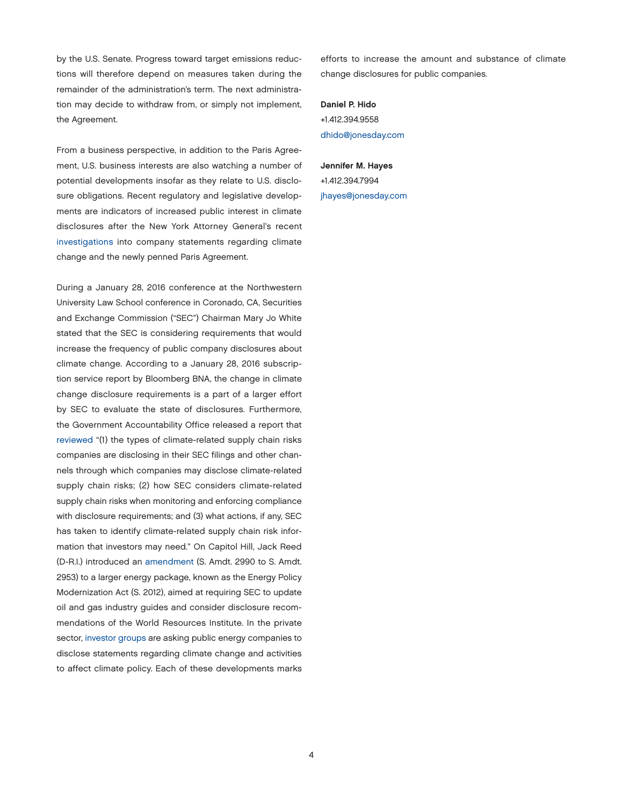by the U.S. Senate. Progress toward target emissions reductions will therefore depend on measures taken during the remainder of the administration's term. The next administration may decide to withdraw from, or simply not implement, the Agreement.

From a business perspective, in addition to the Paris Agreement, U.S. business interests are also watching a number of potential developments insofar as they relate to U.S. disclosure obligations. Recent regulatory and legislative developments are indicators of increased public interest in climate disclosures after the New York Attorney General's recent [investigations](http://www.nytimes.com/2015/11/06/science/exxon-mobil-under-investigation-in-new-york-over-climate-statements.html?_r=0) into company statements regarding climate change and the newly penned Paris Agreement.

During a January 28, 2016 conference at the Northwestern University Law School conference in Coronado, CA, Securities and Exchange Commission ("SEC") Chairman Mary Jo White stated that the SEC is considering requirements that would increase the frequency of public company disclosures about climate change. According to a January 28, 2016 subscription service report by Bloomberg BNA, the change in climate change disclosure requirements is a part of a larger effort by SEC to evaluate the state of disclosures. Furthermore, the Government Accountability Office released a report that [reviewed](http://www.gao.gov/products/GAO-16-211?utm_medium=email&utm_source=govdeliverySEC%20previously%20addressed%20disclosure%20requirements%20surrounding%20climate%20in%20two%20interpretive%20releases%20in%202010.%20%20https://www.sec.gov/rules/interp/interparchive/interparch2010.shtml) "(1) the types of climate-related supply chain risks companies are disclosing in their SEC filings and other channels through which companies may disclose climate-related supply chain risks; (2) how SEC considers climate-related supply chain risks when monitoring and enforcing compliance with disclosure requirements; and (3) what actions, if any, SEC has taken to identify climate-related supply chain risk information that investors may need." On Capitol Hill, Jack Reed (D-R.I.) introduced an [amendment](https://www.congress.gov/amendment/114th-congress/senate-amendment/2953) (S. Amdt. 2990 to S. Amdt. 2953) to a larger energy package, known as the Energy Policy Modernization Act (S. 2012), aimed at requiring SEC to update oil and gas industry guides and consider disclosure recommendations of the World Resources Institute. In the private sector, [investor groups](http://insideclimatenews.org/news/12012016/exxon-mobil-under-investigation-climate-change-science-shareholder-resolutions-investors) are asking public energy companies to disclose statements regarding climate change and activities to affect climate policy. Each of these developments marks efforts to increase the amount and substance of climate change disclosures for public companies.

Daniel P. Hido +1.412.394.9558 [dhido@jonesday.com](mailto:dhido@jonesday.com)

## Jennifer M. Hayes

+1.412.394.7994 [jhayes@jonesday.com](mailto:jhayes@jonesday.com)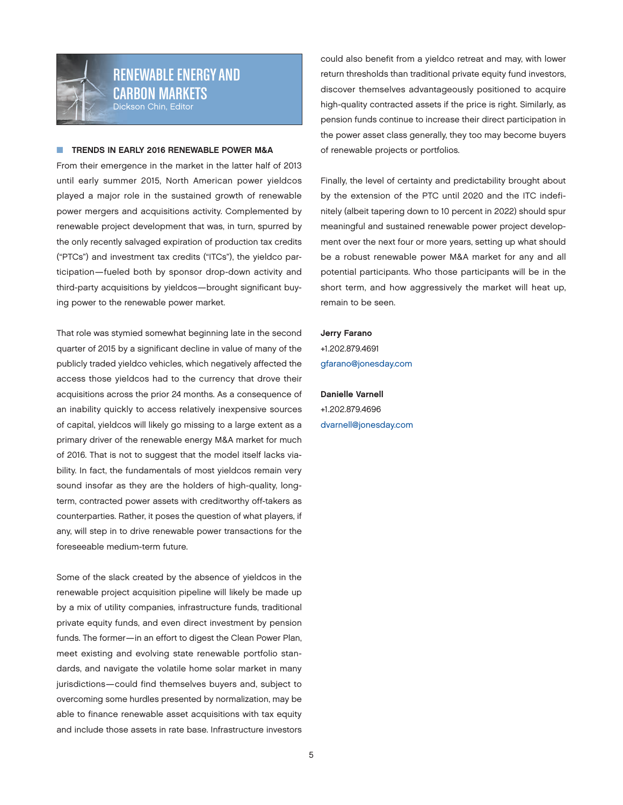<span id="page-4-0"></span>

## RENEWABLE ENERGY AND CARBON MARKETS Dickson Chin, Editor

#### TRENDS IN EARLY 2016 RENEWABLE POWER M&A

From their emergence in the market in the latter half of 2013 until early summer 2015, North American power yieldcos played a major role in the sustained growth of renewable power mergers and acquisitions activity. Complemented by renewable project development that was, in turn, spurred by the only recently salvaged expiration of production tax credits ("PTCs") and investment tax credits ("ITCs"), the yieldco participation—fueled both by sponsor drop-down activity and third-party acquisitions by yieldcos—brought significant buying power to the renewable power market.

That role was stymied somewhat beginning late in the second quarter of 2015 by a significant decline in value of many of the publicly traded yieldco vehicles, which negatively affected the access those yieldcos had to the currency that drove their acquisitions across the prior 24 months. As a consequence of an inability quickly to access relatively inexpensive sources of capital, yieldcos will likely go missing to a large extent as a primary driver of the renewable energy M&A market for much of 2016. That is not to suggest that the model itself lacks viability. In fact, the fundamentals of most yieldcos remain very sound insofar as they are the holders of high-quality, longterm, contracted power assets with creditworthy off-takers as counterparties. Rather, it poses the question of what players, if any, will step in to drive renewable power transactions for the foreseeable medium-term future.

Some of the slack created by the absence of yieldcos in the renewable project acquisition pipeline will likely be made up by a mix of utility companies, infrastructure funds, traditional private equity funds, and even direct investment by pension funds. The former—in an effort to digest the Clean Power Plan, meet existing and evolving state renewable portfolio standards, and navigate the volatile home solar market in many jurisdictions—could find themselves buyers and, subject to overcoming some hurdles presented by normalization, may be able to finance renewable asset acquisitions with tax equity and include those assets in rate base. Infrastructure investors

could also benefit from a yieldco retreat and may, with lower return thresholds than traditional private equity fund investors, discover themselves advantageously positioned to acquire high-quality contracted assets if the price is right. Similarly, as pension funds continue to increase their direct participation in the power asset class generally, they too may become buyers of renewable projects or portfolios.

Finally, the level of certainty and predictability brought about by the extension of the PTC until 2020 and the ITC indefinitely (albeit tapering down to 10 percent in 2022) should spur meaningful and sustained renewable power project development over the next four or more years, setting up what should be a robust renewable power M&A market for any and all potential participants. Who those participants will be in the short term, and how aggressively the market will heat up, remain to be seen.

#### Jerry Farano

+1.202.879.4691 [gfarano@jonesday.com](mailto:gfarano@jonesday.com)

Danielle Varnell +1.202.879.4696 [dvarnell@jonesday.com](mailto:dvarnell@jonesday.com)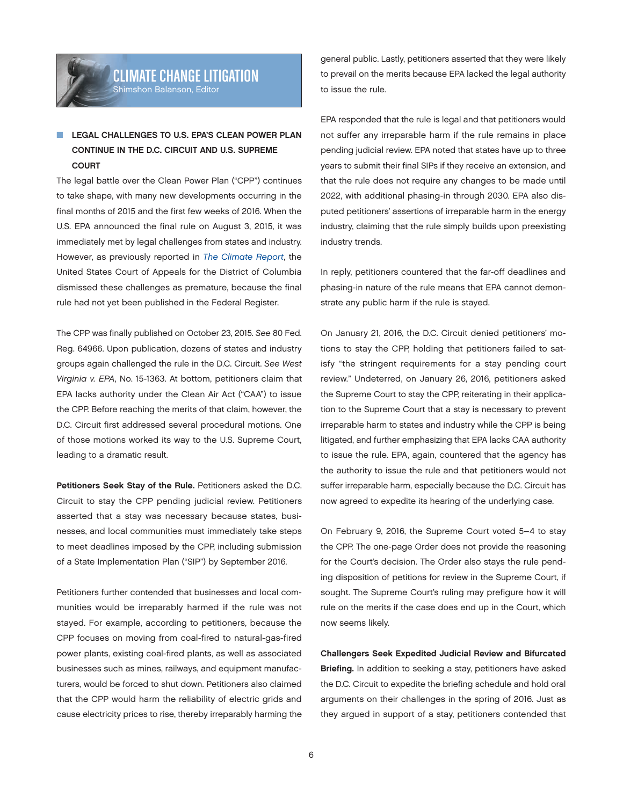## <span id="page-5-0"></span>LEGAL CHALLENGES TO U.S. EPA'S CLEAN POWER PLAN CONTINUE IN THE D.C. CIRCUIT AND U.S. SUPREME **COURT**

The legal battle over the Clean Power Plan ("CPP") continues to take shape, with many new developments occurring in the final months of 2015 and the first few weeks of 2016. When the U.S. EPA announced the final rule on August 3, 2015, it was immediately met by legal challenges from states and industry. However, as previously reported in *[The Climate Report](http://thewritestuff.jonesday.com/cv/dc643b5dcae8d2722a0b67d7d5f977e3e2ce0951/p=5380653)*, the United States Court of Appeals for the District of Columbia dismissed these challenges as premature, because the final rule had not yet been published in the Federal Register.

The CPP was finally published on October 23, 2015. *See* 80 Fed. Reg. 64966. Upon publication, dozens of states and industry groups again challenged the rule in the D.C. Circuit. *See West Virginia v. EPA*, No. 15-1363. At bottom, petitioners claim that EPA lacks authority under the Clean Air Act ("CAA") to issue the CPP. Before reaching the merits of that claim, however, the D.C. Circuit first addressed several procedural motions. One of those motions worked its way to the U.S. Supreme Court, leading to a dramatic result.

Petitioners Seek Stay of the Rule. Petitioners asked the D.C. Circuit to stay the CPP pending judicial review. Petitioners asserted that a stay was necessary because states, businesses, and local communities must immediately take steps to meet deadlines imposed by the CPP, including submission of a State Implementation Plan ("SIP") by September 2016.

Petitioners further contended that businesses and local communities would be irreparably harmed if the rule was not stayed. For example, according to petitioners, because the CPP focuses on moving from coal-fired to natural-gas-fired power plants, existing coal-fired plants, as well as associated businesses such as mines, railways, and equipment manufacturers, would be forced to shut down. Petitioners also claimed that the CPP would harm the reliability of electric grids and cause electricity prices to rise, thereby irreparably harming the

general public. Lastly, petitioners asserted that they were likely to prevail on the merits because EPA lacked the legal authority to issue the rule.

EPA responded that the rule is legal and that petitioners would not suffer any irreparable harm if the rule remains in place pending judicial review. EPA noted that states have up to three years to submit their final SIPs if they receive an extension, and that the rule does not require any changes to be made until 2022, with additional phasing-in through 2030. EPA also disputed petitioners' assertions of irreparable harm in the energy industry, claiming that the rule simply builds upon preexisting industry trends.

In reply, petitioners countered that the far-off deadlines and phasing-in nature of the rule means that EPA cannot demonstrate any public harm if the rule is stayed.

On January 21, 2016, the D.C. Circuit denied petitioners' motions to stay the CPP, holding that petitioners failed to satisfy "the stringent requirements for a stay pending court review." Undeterred, on January 26, 2016, petitioners asked the Supreme Court to stay the CPP, reiterating in their application to the Supreme Court that a stay is necessary to prevent irreparable harm to states and industry while the CPP is being litigated, and further emphasizing that EPA lacks CAA authority to issue the rule. EPA, again, countered that the agency has the authority to issue the rule and that petitioners would not suffer irreparable harm, especially because the D.C. Circuit has now agreed to expedite its hearing of the underlying case.

On February 9, 2016, the Supreme Court voted 5–4 to stay the CPP. The one-page Order does not provide the reasoning for the Court's decision. The Order also stays the rule pending disposition of petitions for review in the Supreme Court, if sought. The Supreme Court's ruling may prefigure how it will rule on the merits if the case does end up in the Court, which now seems likely.

Challengers Seek Expedited Judicial Review and Bifurcated Briefing. In addition to seeking a stay, petitioners have asked the D.C. Circuit to expedite the briefing schedule and hold oral arguments on their challenges in the spring of 2016. Just as they argued in support of a stay, petitioners contended that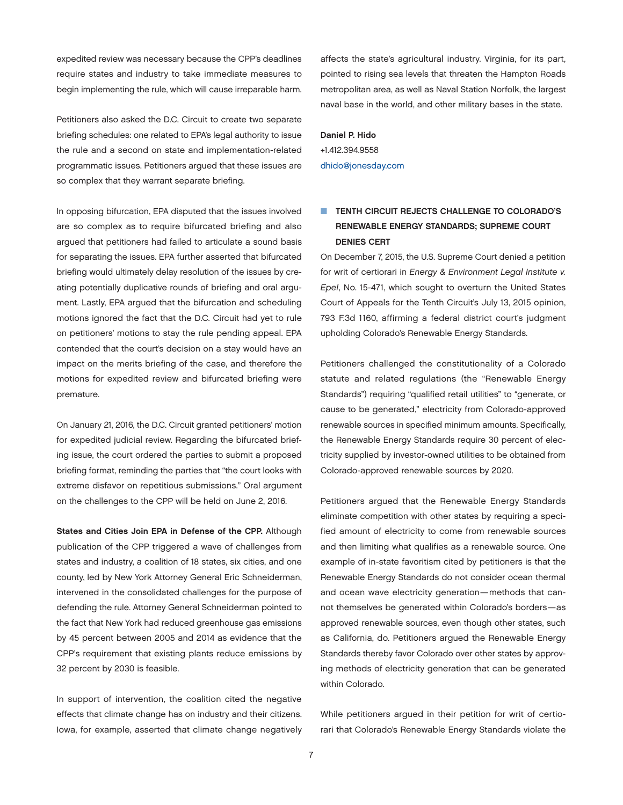expedited review was necessary because the CPP's deadlines require states and industry to take immediate measures to begin implementing the rule, which will cause irreparable harm.

Petitioners also asked the D.C. Circuit to create two separate briefing schedules: one related to EPA's legal authority to issue the rule and a second on state and implementation-related programmatic issues. Petitioners argued that these issues are so complex that they warrant separate briefing.

In opposing bifurcation, EPA disputed that the issues involved are so complex as to require bifurcated briefing and also argued that petitioners had failed to articulate a sound basis for separating the issues. EPA further asserted that bifurcated briefing would ultimately delay resolution of the issues by creating potentially duplicative rounds of briefing and oral argument. Lastly, EPA argued that the bifurcation and scheduling motions ignored the fact that the D.C. Circuit had yet to rule on petitioners' motions to stay the rule pending appeal. EPA contended that the court's decision on a stay would have an impact on the merits briefing of the case, and therefore the motions for expedited review and bifurcated briefing were premature.

On January 21, 2016, the D.C. Circuit granted petitioners' motion for expedited judicial review. Regarding the bifurcated briefing issue, the court ordered the parties to submit a proposed briefing format, reminding the parties that "the court looks with extreme disfavor on repetitious submissions." Oral argument on the challenges to the CPP will be held on June 2, 2016.

States and Cities Join EPA in Defense of the CPP. Although publication of the CPP triggered a wave of challenges from states and industry, a coalition of 18 states, six cities, and one county, led by New York Attorney General Eric Schneiderman, intervened in the consolidated challenges for the purpose of defending the rule. Attorney General Schneiderman pointed to the fact that New York had reduced greenhouse gas emissions by 45 percent between 2005 and 2014 as evidence that the CPP's requirement that existing plants reduce emissions by 32 percent by 2030 is feasible.

In support of intervention, the coalition cited the negative effects that climate change has on industry and their citizens. Iowa, for example, asserted that climate change negatively affects the state's agricultural industry. Virginia, for its part, pointed to rising sea levels that threaten the Hampton Roads metropolitan area, as well as Naval Station Norfolk, the largest naval base in the world, and other military bases in the state.

#### Daniel P. Hido

+1.412.394.9558 [dhido@jonesday.com](mailto:dhido@jonesday.com)

## **N TENTH CIRCUIT REJECTS CHALLENGE TO COLORADO'S** RENEWABLE ENERGY STANDARDS; SUPREME COURT DENIES CERT

On December 7, 2015, the U.S. Supreme Court denied a petition for writ of certiorari in *Energy & Environment Legal Institute v. Epel*, No. 15-471, which sought to overturn the United States Court of Appeals for the Tenth Circuit's July 13, 2015 opinion, 793 F.3d 1160, affirming a federal district court's judgment upholding Colorado's Renewable Energy Standards.

Petitioners challenged the constitutionality of a Colorado statute and related regulations (the "Renewable Energy Standards") requiring "qualified retail utilities" to "generate, or cause to be generated," electricity from Colorado-approved renewable sources in specified minimum amounts. Specifically, the Renewable Energy Standards require 30 percent of electricity supplied by investor-owned utilities to be obtained from Colorado-approved renewable sources by 2020.

Petitioners argued that the Renewable Energy Standards eliminate competition with other states by requiring a specified amount of electricity to come from renewable sources and then limiting what qualifies as a renewable source. One example of in-state favoritism cited by petitioners is that the Renewable Energy Standards do not consider ocean thermal and ocean wave electricity generation—methods that cannot themselves be generated within Colorado's borders—as approved renewable sources, even though other states, such as California, do. Petitioners argued the Renewable Energy Standards thereby favor Colorado over other states by approving methods of electricity generation that can be generated within Colorado.

While petitioners argued in their petition for writ of certiorari that Colorado's Renewable Energy Standards violate the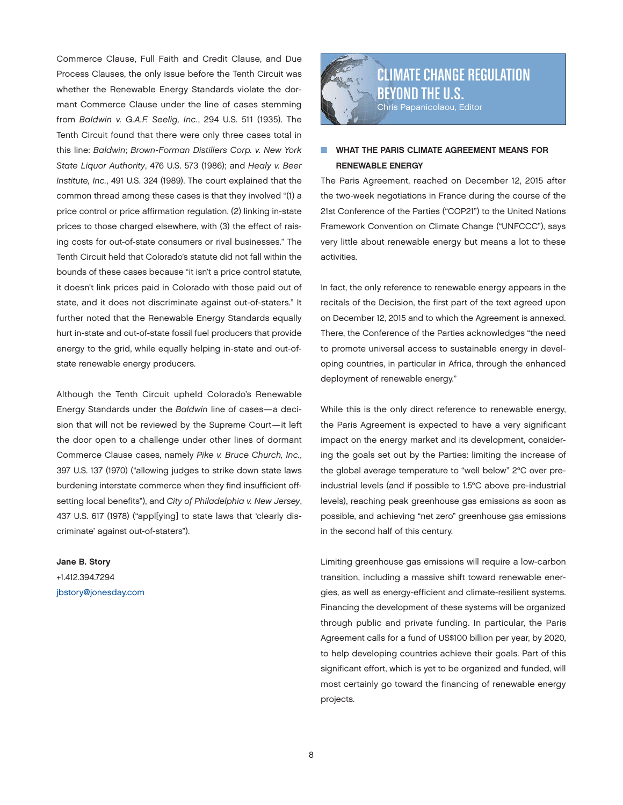<span id="page-7-0"></span>Commerce Clause, Full Faith and Credit Clause, and Due Process Clauses, the only issue before the Tenth Circuit was whether the Renewable Energy Standards violate the dormant Commerce Clause under the line of cases stemming from *Baldwin v. G.A.F. Seelig, Inc.*, 294 U.S. 511 (1935). The Tenth Circuit found that there were only three cases total in this line: *Baldwin*; *Brown-Forman Distillers Corp. v. New York State Liquor Authority*, 476 U.S. 573 (1986); and *Healy v. Beer Institute, Inc.*, 491 U.S. 324 (1989). The court explained that the common thread among these cases is that they involved "(1) a price control or price affirmation regulation, (2) linking in-state prices to those charged elsewhere, with (3) the effect of raising costs for out-of-state consumers or rival businesses." The Tenth Circuit held that Colorado's statute did not fall within the bounds of these cases because "it isn't a price control statute, it doesn't link prices paid in Colorado with those paid out of state, and it does not discriminate against out-of-staters." It further noted that the Renewable Energy Standards equally hurt in-state and out-of-state fossil fuel producers that provide energy to the grid, while equally helping in-state and out-ofstate renewable energy producers.

Although the Tenth Circuit upheld Colorado's Renewable Energy Standards under the *Baldwin* line of cases—a decision that will not be reviewed by the Supreme Court—it left the door open to a challenge under other lines of dormant Commerce Clause cases, namely *Pike v. Bruce Church, Inc.*, 397 U.S. 137 (1970) ("allowing judges to strike down state laws burdening interstate commerce when they find insufficient offsetting local benefits"), and *City of Philadelphia v. New Jersey*, 437 U.S. 617 (1978) ("appl[ying] to state laws that 'clearly discriminate' against out-of-staters").

Jane B. Story +1.412.394.7294 [jbstory@jonesday.com](mailto:jbstory@jonesday.com)



## WHAT THE PARIS CLIMATE AGREEMENT MEANS FOR RENEWABLE ENERGY

The Paris Agreement, reached on December 12, 2015 after the two-week negotiations in France during the course of the 21st Conference of the Parties ("COP21") to the United Nations Framework Convention on Climate Change ("UNFCCC"), says very little about renewable energy but means a lot to these activities.

In fact, the only reference to renewable energy appears in the recitals of the Decision, the first part of the text agreed upon on December 12, 2015 and to which the Agreement is annexed. There, the Conference of the Parties acknowledges "the need to promote universal access to sustainable energy in developing countries, in particular in Africa, through the enhanced deployment of renewable energy."

While this is the only direct reference to renewable energy, the Paris Agreement is expected to have a very significant impact on the energy market and its development, considering the goals set out by the Parties: limiting the increase of the global average temperature to "well below" 2°C over preindustrial levels (and if possible to 1.5°C above pre-industrial levels), reaching peak greenhouse gas emissions as soon as possible, and achieving "net zero" greenhouse gas emissions in the second half of this century.

Limiting greenhouse gas emissions will require a low-carbon transition, including a massive shift toward renewable energies, as well as energy-efficient and climate-resilient systems. Financing the development of these systems will be organized through public and private funding. In particular, the Paris Agreement calls for a fund of US\$100 billion per year, by 2020, to help developing countries achieve their goals. Part of this significant effort, which is yet to be organized and funded, will most certainly go toward the financing of renewable energy projects.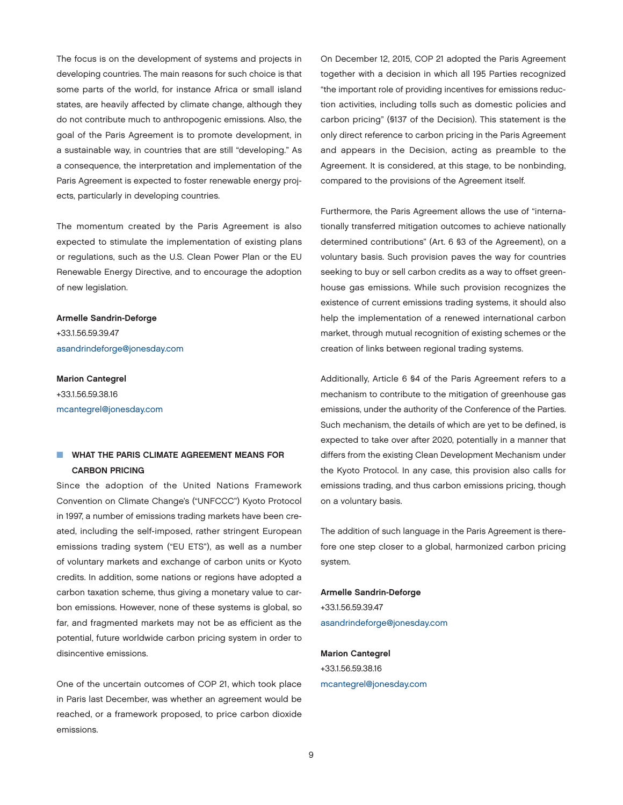The focus is on the development of systems and projects in developing countries. The main reasons for such choice is that some parts of the world, for instance Africa or small island states, are heavily affected by climate change, although they do not contribute much to anthropogenic emissions. Also, the goal of the Paris Agreement is to promote development, in a sustainable way, in countries that are still "developing." As a consequence, the interpretation and implementation of the Paris Agreement is expected to foster renewable energy projects, particularly in developing countries.

The momentum created by the Paris Agreement is also expected to stimulate the implementation of existing plans or regulations, such as the U.S. Clean Power Plan or the EU Renewable Energy Directive, and to encourage the adoption of new legislation.

Armelle Sandrin-Deforge +33.1.56.59.39.47 [asandrindeforge@jonesday.com](mailto:asandrindeforge@jonesday.com)

Marion Cantegrel +33.1.56.59.38.16 [mcantegrel@jonesday.com](mailto:mcantegrel@jonesday.com)

## **N WHAT THE PARIS CLIMATE AGREEMENT MEANS FOR** CARBON PRICING

Since the adoption of the United Nations Framework Convention on Climate Change's ("UNFCCC") Kyoto Protocol in 1997, a number of emissions trading markets have been created, including the self-imposed, rather stringent European emissions trading system ("EU ETS"), as well as a number of voluntary markets and exchange of carbon units or Kyoto credits. In addition, some nations or regions have adopted a carbon taxation scheme, thus giving a monetary value to carbon emissions. However, none of these systems is global, so far, and fragmented markets may not be as efficient as the potential, future worldwide carbon pricing system in order to disincentive emissions.

One of the uncertain outcomes of COP 21, which took place in Paris last December, was whether an agreement would be reached, or a framework proposed, to price carbon dioxide emissions.

On December 12, 2015, COP 21 adopted the Paris Agreement together with a decision in which all 195 Parties recognized "the important role of providing incentives for emissions reduction activities, including tolls such as domestic policies and carbon pricing" (§137 of the Decision). This statement is the only direct reference to carbon pricing in the Paris Agreement and appears in the Decision, acting as preamble to the Agreement. It is considered, at this stage, to be nonbinding, compared to the provisions of the Agreement itself.

Furthermore, the Paris Agreement allows the use of "internationally transferred mitigation outcomes to achieve nationally determined contributions" (Art. 6 §3 of the Agreement), on a voluntary basis. Such provision paves the way for countries seeking to buy or sell carbon credits as a way to offset greenhouse gas emissions. While such provision recognizes the existence of current emissions trading systems, it should also help the implementation of a renewed international carbon market, through mutual recognition of existing schemes or the creation of links between regional trading systems.

Additionally, Article 6 §4 of the Paris Agreement refers to a mechanism to contribute to the mitigation of greenhouse gas emissions, under the authority of the Conference of the Parties. Such mechanism, the details of which are yet to be defined, is expected to take over after 2020, potentially in a manner that differs from the existing Clean Development Mechanism under the Kyoto Protocol. In any case, this provision also calls for emissions trading, and thus carbon emissions pricing, though on a voluntary basis.

The addition of such language in the Paris Agreement is therefore one step closer to a global, harmonized carbon pricing system.

Armelle Sandrin-Deforge +33.1.56.59.39.47 [asandrindeforge@jonesday.com](mailto:asandrindeforge@jonesday.com)

Marion Cantegrel +33.1.56.59.38.16 [mcantegrel@jonesday.com](mailto:mcantegrel@jonesday.com)